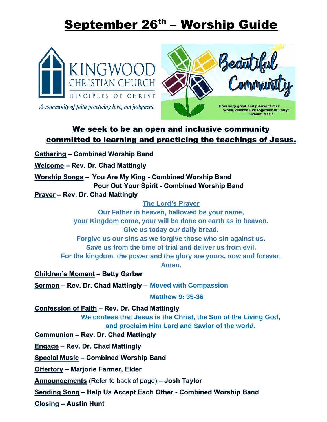# September 26<sup>th</sup> – Worship Guide





# We seek to be an open and inclusive community committed to learning and practicing the teachings of Jesus.

- **Gathering Combined Worship Band**
- Welcome Rev. Dr. Chad Mattingly

Worship Songs - You Are My King - Combined Worship Band **Pour Out Your Spirit - Combined Worship Band** 

**Prayer - Rev. Dr. Chad Mattingly** 

### **The Lord's Prayer**

**Our Father in heaven, hallowed be your name, your Kingdom come, your will be done on earth as in heaven. Give us today our daily bread. Forgive us our sins as we forgive those who sin against us. Save us from the time of trial and deliver us from evil. For the kingdom, the power and the glory are yours, now and forever. Amen. Children's Moment - Betty Garber** 

**Sermon – Rev. Dr. Chad Mattingly – Moved with Compassion** 

**Matthew 9: 35-36**

Confession of Faith - Rev. Dr. Chad Mattingly

**We confess that Jesus is the Christ, the Son of the Living God, and proclaim Him Lord and Savior of the world.**

**Communion - Rev. Dr. Chad Mattingly** 

Engage – Rev. Dr. Chad Mattingly

**Special Music - Combined Worship Band** 

**Offertory - Marjorie Farmer, Elder** 

**Announcements** (Refer to back of page) – **Josh Taylor** 

Sending Song - Help Us Accept Each Other - Combined Worship Band

**Closing - Austin Hunt**